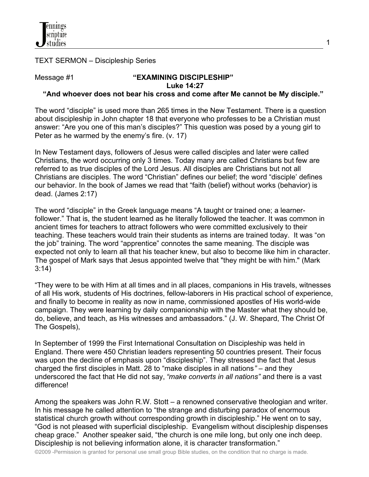

### TEXT SERMON – Discipleship Series

#### Message #1  $"$ **EXAMINING DISCIPLESHIP**"  **Luke 14:27**

## **"And whoever does not bear his cross and come after Me cannot be My disciple."**

The word "disciple" is used more than 265 times in the New Testament. There is a question about discipleship in John chapter 18 that everyone who professes to be a Christian must answer: "Are you one of this man's disciples?" This question was posed by a young girl to Peter as he warmed by the enemy's fire. (v. 17)

In New Testament days, followers of Jesus were called disciples and later were called Christians, the word occurring only 3 times. Today many are called Christians but few are referred to as true disciples of the Lord Jesus. All disciples are Christians but not all Christians are disciples. The word "Christian" defines our belief; the word "disciple' defines our behavior. In the book of James we read that "faith (belief) without works (behavior) is dead. (James 2:17)

The word "disciple" in the Greek language means "A taught or trained one; a learnerfollower." That is, the student learned as he literally followed the teacher. It was common in ancient times for teachers to attract followers who were committed exclusively to their teaching. These teachers would train their students as interns are trained today. It was "on the job" training. The word "apprentice" connotes the same meaning. The disciple was expected not only to learn all that his teacher knew, but also to become like him in character. The gospel of Mark says that Jesus appointed twelve that "they might be with him." (Mark 3:14)

"They were to be with Him at all times and in all places, companions in His travels, witnesses of all His work, students of His doctrines, fellow-laborers in His practical school of experience, and finally to become in reality as now in name, commissioned apostles of His world-wide campaign. They were learning by daily companionship with the Master what they should be, do, believe, and teach, as His witnesses and ambassadors." (J. W. Shepard, The Christ Of The Gospels),

In September of 1999 the First International Consultation on Discipleship was held in England. There were 450 Christian leaders representing 50 countries present. Their focus was upon the decline of emphasis upon "discipleship". They stressed the fact that Jesus charged the first disciples in Matt. 28 to "make disciples in all nations*"* – and they underscored the fact that He did not say, *"make converts in all nations"* and there is a vast difference!

Among the speakers was John R.W. Stott – a renowned conservative theologian and writer. In his message he called attention to "the strange and disturbing paradox of enormous statistical church growth without corresponding growth in discipleship." He went on to say, "God is not pleased with superficial discipleship. Evangelism without discipleship dispenses cheap grace." Another speaker said, "the church is one mile long, but only one inch deep. Discipleship is not believing information alone, it is character transformation."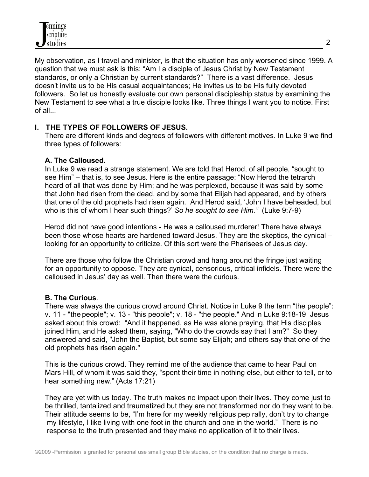My observation, as I travel and minister, is that the situation has only worsened since 1999. A question that we must ask is this: "Am I a disciple of Jesus Christ by New Testament standards, or only a Christian by current standards?" There is a vast difference. Jesus doesn't invite us to be His casual acquaintances; He invites us to be His fully devoted followers. So let us honestly evaluate our own personal discipleship status by examining the New Testament to see what a true disciple looks like. Three things I want you to notice. First of all...

## **I. THE TYPES OF FOLLOWERS OF JESUS.**

 There are different kinds and degrees of followers with different motives. In Luke 9 we find three types of followers:

## **A. The Calloused.**

 In Luke 9 we read a strange statement. We are told that Herod, of all people, "sought to see Him" – that is, to see Jesus. Here is the entire passage: "Now Herod the tetrarch heard of all that was done by Him; and he was perplexed, because it was said by some that John had risen from the dead, and by some that Elijah had appeared, and by others that one of the old prophets had risen again. And Herod said, 'John I have beheaded, but who is this of whom I hear such things?' *So he sought to see Him."*(Luke 9:7-9)

 Herod did not have good intentions - He was a calloused murderer! There have always been those whose hearts are hardened toward Jesus. They are the skeptics, the cynical – looking for an opportunity to criticize. Of this sort were the Pharisees of Jesus day.

 There are those who follow the Christian crowd and hang around the fringe just waiting for an opportunity to oppose. They are cynical, censorious, critical infidels. There were the calloused in Jesus' day as well. Then there were the curious.

# **B. The Curious**.

 There was always the curious crowd around Christ. Notice in Luke 9 the term "the people": v. 11 - "the people"; v. 13 - "this people"; v. 18 - "the people." And in Luke 9:18-19 Jesus asked about this crowd: "And it happened, as He was alone praying, that His disciples joined Him, and He asked them, saying, "Who do the crowds say that I am?" So they answered and said, "John the Baptist, but some say Elijah; and others say that one of the old prophets has risen again."

 This is the curious crowd. They remind me of the audience that came to hear Paul on Mars Hill, of whom it was said they, "spent their time in nothing else, but either to tell, or to hear something new." (Acts 17:21)

 They are yet with us today. The truth makes no impact upon their lives. They come just to be thrilled, tantalized and traumatized but they are not transformed nor do they want to be. Their attitude seems to be, "I'm here for my weekly religious pep rally, don't try to change my lifestyle, I like living with one foot in the church and one in the world." There is no response to the truth presented and they make no application of it to their lives.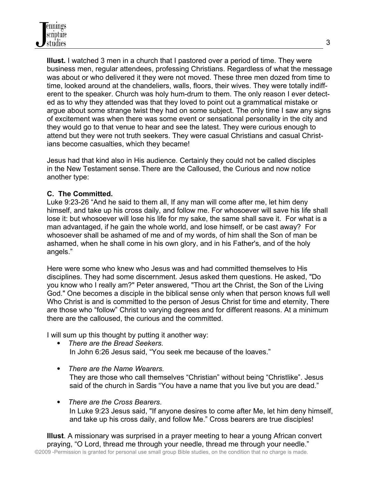**Illust.** I watched 3 men in a church that I pastored over a period of time. They were business men, regular attendees, professing Christians. Regardless of what the message was about or who delivered it they were not moved. These three men dozed from time to time, looked around at the chandeliers, walls, floors, their wives. They were totally indiff erent to the speaker. Church was holy hum-drum to them. The only reason I ever detect ed as to why they attended was that they loved to point out a grammatical mistake or argue about some strange twist they had on some subject. The only time I saw any signs of excitement was when there was some event or sensational personality in the city and they would go to that venue to hear and see the latest. They were curious enough to attend but they were not truth seekers. They were casual Christians and casual Christ ians become casualties, which they became!

 Jesus had that kind also in His audience. Certainly they could not be called disciples in the New Testament sense. There are the Calloused, the Curious and now notice another type:

# **C. The Committed.**

Luke 9:23-26 "And he said to them all, If any man will come after me, let him deny himself, and take up his cross daily, and follow me. For whosoever will save his life shall lose it: but whosoever will lose his life for my sake, the same shall save it. For what is a man advantaged, if he gain the whole world, and lose himself, or be cast away? For whosoever shall be ashamed of me and of my words, of him shall the Son of man be ashamed, when he shall come in his own glory, and in his Father's, and of the holy angels."

 Here were some who knew who Jesus was and had committed themselves to His disciplines. They had some discernment. Jesus asked them questions. He asked, "Do you know who I really am?" Peter answered, "Thou art the Christ, the Son of the Living God." One becomes a disciple in the biblical sense only when that person knows full well Who Christ is and is committed to the person of Jesus Christ for time and eternity, There are those who "follow" Christ to varying degrees and for different reasons. At a minimum there are the calloused, the curious and the committed.

I will sum up this thought by putting it another way:

- *There are the Bread Seekers.* In John 6:26 Jesus said, "You seek me because of the loaves."
- *There are the Name Wearers.*  They are those who call themselves "Christian" without being "Christlike". Jesus said of the church in Sardis "You have a name that you live but you are dead."
- *There are the Cross Bearers*. In Luke 9:23 Jesus said, "If anyone desires to come after Me, let him deny himself, and take up his cross daily, and follow Me." Cross bearers are true disciples!

 **Illust**. A missionary was surprised in a prayer meeting to hear a young African convert praying, "O Lord, thread me through your needle, thread me through your needle." ©2009 -Permission is granted for personal use small group Bible studies, on the condition that no charge is made.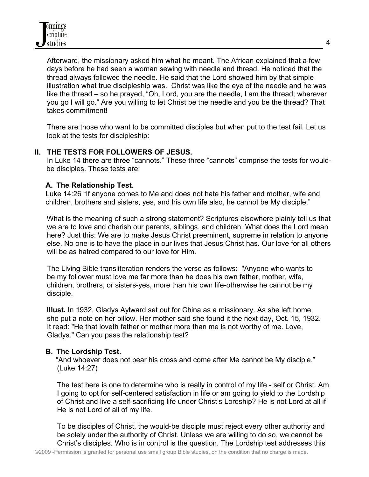Afterward, the missionary asked him what he meant. The African explained that a few days before he had seen a woman sewing with needle and thread. He noticed that the thread always followed the needle. He said that the Lord showed him by that simple illustration what true discipleship was. Christ was like the eye of the needle and he was like the thread – so he prayed, "Oh, Lord, you are the needle, I am the thread; wherever you go I will go." Are you willing to let Christ be the needle and you be the thread? That takes commitment!

 There are those who want to be committed disciples but when put to the test fail. Let us look at the tests for discipleship:

### **II. THE TESTS FOR FOLLOWERS OF JESUS.**

 In Luke 14 there are three "cannots." These three "cannots" comprise the tests for wouldbe disciples. These tests are:

## **A. The Relationship Test.**

Luke 14:26 "If anyone comes to Me and does not hate his father and mother, wife and children, brothers and sisters, yes, and his own life also, he cannot be My disciple."

What is the meaning of such a strong statement? Scriptures elsewhere plainly tell us that we are to love and cherish our parents, siblings, and children. What does the Lord mean here? Just this: We are to make Jesus Christ preeminent, supreme in relation to anyone else. No one is to have the place in our lives that Jesus Christ has. Our love for all others will be as hatred compared to our love for Him.

 The Living Bible transliteration renders the verse as follows: "Anyone who wants to be my follower must love me far more than he does his own father, mother, wife, children, brothers, or sisters-yes, more than his own life-otherwise he cannot be my disciple.

 **Illust.** In 1932, Gladys Aylward set out for China as a missionary. As she left home, she put a note on her pillow. Her mother said she found it the next day, Oct. 15, 1932. It read: "He that loveth father or mother more than me is not worthy of me. Love, Gladys." Can you pass the relationship test?

### **B. The Lordship Test.**

"And whoever does not bear his cross and come after Me cannot be My disciple." (Luke 14:27)

 The test here is one to determine who is really in control of my life - self or Christ. Am I going to opt for self-centered satisfaction in life or am going to yield to the Lordship of Christ and live a self-sacrificing life under Christ's Lordship? He is not Lord at all if He is not Lord of all of my life.

 To be disciples of Christ, the would-be disciple must reject every other authority and be solely under the authority of Christ. Unless we are willing to do so, we cannot be Christ's disciples. Who is in control is the question. The Lordship test addresses this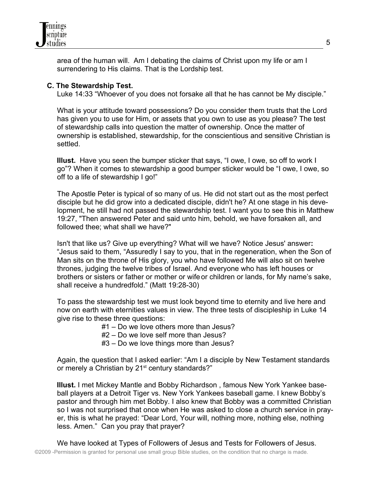

 area of the human will. Am I debating the claims of Christ upon my life or am I surrendering to His claims. That is the Lordship test.

### **C. The Stewardship Test.**

Luke 14:33 "Whoever of you does not forsake all that he has cannot be My disciple."

 What is your attitude toward possessions? Do you consider them trusts that the Lord has given you to use for Him, or assets that you own to use as you please? The test of stewardship calls into question the matter of ownership. Once the matter of ownership is established, stewardship, for the conscientious and sensitive Christian is settled.

 **Illust.** Have you seen the bumper sticker that says, "I owe, I owe, so off to work I go"? When it comes to stewardship a good bumper sticker would be "I owe, I owe, so off to a life of stewardship I go!"

 The Apostle Peter is typical of so many of us. He did not start out as the most perfect disciple but he did grow into a dedicated disciple, didn't he? At one stage in his deve lopment, he still had not passed the stewardship test. I want you to see this in Matthew 19:27, "Then answered Peter and said unto him, behold, we have forsaken all, and followed thee; what shall we have?"

 Isn't that like us? Give up everything? What will we have? Notice Jesus' answer**:** "Jesus said to them, "Assuredly I say to you, that in the regeneration, when the Son of Man sits on the throne of His glory, you who have followed Me will also sit on twelve thrones, judging the twelve tribes of Israel. And everyone who has left houses or brothers or sisters or father or mother or wife or children or lands, for My name's sake, shall receive a hundredfold." (Matt 19:28-30)

 To pass the stewardship test we must look beyond time to eternity and live here and now on earth with eternities values in view. The three tests of discipleship in Luke 14 give rise to these three questions:

#1 – Do we love others more than Jesus?

- #2 Do we love self more than Jesus?
- #3 Do we love things more than Jesus?

 Again, the question that I asked earlier: "Am I a disciple by New Testament standards or merely a Christian by 21<sup>st</sup> century standards?"

 **Illust.** I met Mickey Mantle and Bobby Richardson , famous New York Yankee base ball players at a Detroit Tiger vs. New York Yankees baseball game. I knew Bobby's pastor and through him met Bobby. I also knew that Bobby was a committed Christian so I was not surprised that once when He was asked to close a church service in pray er, this is what he prayed: "Dear Lord, Your will, nothing more, nothing else, nothing less. Amen." Can you pray that prayer?

We have looked at Types of Followers of Jesus and Tests for Followers of Jesus.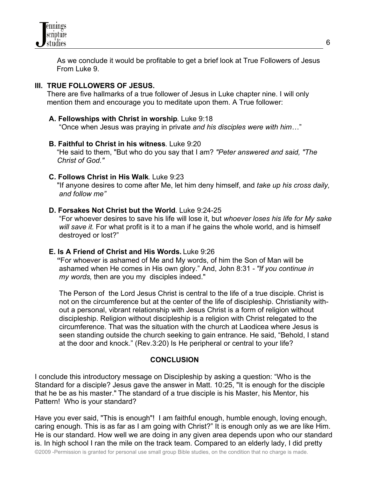

 As we conclude it would be profitable to get a brief look at True Followers of Jesus From Luke 9.

## **III. TRUE FOLLOWERS OF JESUS.**

 There are five hallmarks of a true follower of Jesus in Luke chapter nine. I will only mention them and encourage you to meditate upon them. A True follower:

### **A. Fellowships with Christ in worship**. Luke 9:18

"Once when Jesus was praying in private *and his disciples were with him*…"

### **B. Faithful to Christ in his witness**. Luke 9:20

"He said to them, "But who do you say that I am? *"Peter answered and said, "The Christ of God."* 

### **C. Follows Christ in His Walk**. Luke 9:23

 "If anyone desires to come after Me, let him deny himself, and *take up his cross daily, and follow me"* 

### **D. Forsakes Not Christ but the World. Luke 9:24-25.**

 "For whoever desires to save his life will lose it, but *whoever loses his life for My sake will save it.* For what profit is it to a man if he gains the whole world, and is himself destroyed or lost?"

### **E. Is A Friend of Christ and His Words.** Luke 9:26

 **"**For whoever is ashamed of Me and My words, of him the Son of Man will be ashamed when He comes in His own glory." And, John 8:31 - *"If you continue in my words,* then are you my disciples indeed."

 The Person of the Lord Jesus Christ is central to the life of a true disciple. Christ is not on the circumference but at the center of the life of discipleship. Christianity with out a personal, vibrant relationship with Jesus Christ is a form of religion without discipleship. Religion without discipleship is a religion with Christ relegated to the circumference. That was the situation with the church at Laodicea where Jesus is seen standing outside the church seeking to gain entrance. He said, "Behold, I stand at the door and knock." (Rev.3:20) Is He peripheral or central to your life?

#### **CONCLUSION**

I conclude this introductory message on Discipleship by asking a question: "Who is the Standard for a disciple? Jesus gave the answer in Matt. 10:25, "It is enough for the disciple that he be as his master." The standard of a true disciple is his Master, his Mentor, his Pattern! Who is your standard?

Have you ever said, "This is enough"! I am faithful enough, humble enough, loving enough, caring enough. This is as far as I am going with Christ?" It is enough only as we are like Him. He is our standard. How well we are doing in any given area depends upon who our standard is. In high school I ran the mile on the track team. Compared to an elderly lady, I did pretty